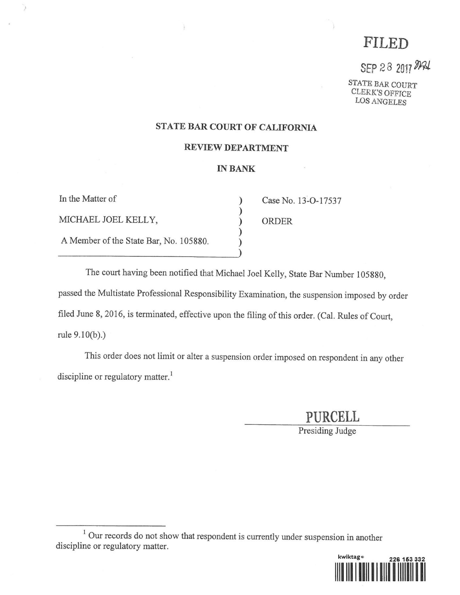# FILED

SEP 28 2017 MAL

CLERK'S OFFICE<br>LOS ANGELES

## STATE BAR COURT OF CALIFORNIA

#### REVIEW DEPARTMENT

#### IN BANK

In the Matter of (13-O-17537) Case No. 13-O-17537 ) MICHAEL JOEL KELLY, ) ORDER ) A Member of the State Bar, No. 105880. )

X

The court having been notified that Michael Joel Kelly, State Bar Number 105880, passed the Multistate Professional Responsibility Examination, the suspension imposed by order filed June 8, 2016, is terminated, effective upon the filing of this order. (Cal. Rules of Court, rule 9.10(b).)

)

This order does not limit or alter a suspension order imposed on respondent in any other discipline or regulatory matter.<sup>1</sup>

PURCELL

Presiding Judge

 $1$  Our records do not show that respondent is currently under suspension in another discipline or regulatory matter.